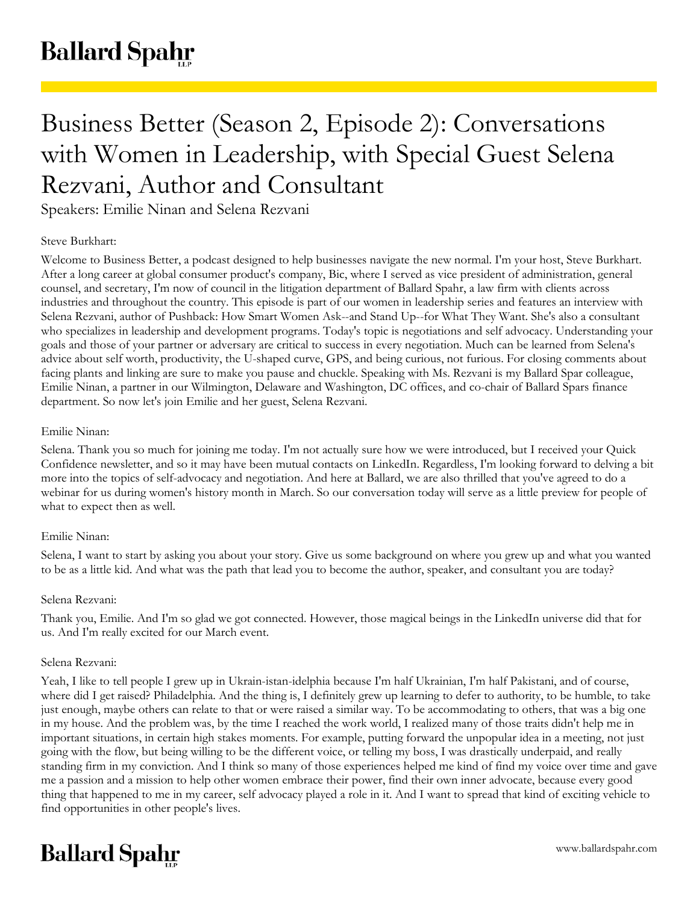# Business Better (Season 2, Episode 2): Conversations with Women in Leadership, with Special Guest Selena Rezvani, Author and Consultant

Speakers: Emilie Ninan and Selena Rezvani

# Steve Burkhart:

Welcome to Business Better, a podcast designed to help businesses navigate the new normal. I'm your host, Steve Burkhart. After a long career at global consumer product's company, Bic, where I served as vice president of administration, general counsel, and secretary, I'm now of council in the litigation department of Ballard Spahr, a law firm with clients across industries and throughout the country. This episode is part of our women in leadership series and features an interview with Selena Rezvani, author of Pushback: How Smart Women Ask--and Stand Up--for What They Want. She's also a consultant who specializes in leadership and development programs. Today's topic is negotiations and self advocacy. Understanding your goals and those of your partner or adversary are critical to success in every negotiation. Much can be learned from Selena's advice about self worth, productivity, the U-shaped curve, GPS, and being curious, not furious. For closing comments about facing plants and linking are sure to make you pause and chuckle. Speaking with Ms. Rezvani is my Ballard Spar colleague, Emilie Ninan, a partner in our Wilmington, Delaware and Washington, DC offices, and co-chair of Ballard Spars finance department. So now let's join Emilie and her guest, Selena Rezvani.

# Emilie Ninan:

Selena. Thank you so much for joining me today. I'm not actually sure how we were introduced, but I received your Quick Confidence newsletter, and so it may have been mutual contacts on LinkedIn. Regardless, I'm looking forward to delving a bit more into the topics of self-advocacy and negotiation. And here at Ballard, we are also thrilled that you've agreed to do a webinar for us during women's history month in March. So our conversation today will serve as a little preview for people of what to expect then as well.

# Emilie Ninan:

Selena, I want to start by asking you about your story. Give us some background on where you grew up and what you wanted to be as a little kid. And what was the path that lead you to become the author, speaker, and consultant you are today?

# Selena Rezvani:

Thank you, Emilie. And I'm so glad we got connected. However, those magical beings in the LinkedIn universe did that for us. And I'm really excited for our March event.

# Selena Rezvani:

Yeah, I like to tell people I grew up in Ukrain-istan-idelphia because I'm half Ukrainian, I'm half Pakistani, and of course, where did I get raised? Philadelphia. And the thing is, I definitely grew up learning to defer to authority, to be humble, to take just enough, maybe others can relate to that or were raised a similar way. To be accommodating to others, that was a big one in my house. And the problem was, by the time I reached the work world, I realized many of those traits didn't help me in important situations, in certain high stakes moments. For example, putting forward the unpopular idea in a meeting, not just going with the flow, but being willing to be the different voice, or telling my boss, I was drastically underpaid, and really standing firm in my conviction. And I think so many of those experiences helped me kind of find my voice over time and gave me a passion and a mission to help other women embrace their power, find their own inner advocate, because every good thing that happened to me in my career, self advocacy played a role in it. And I want to spread that kind of exciting vehicle to find opportunities in other people's lives.

# **Ballard Spahr**

www.ballardspahr.com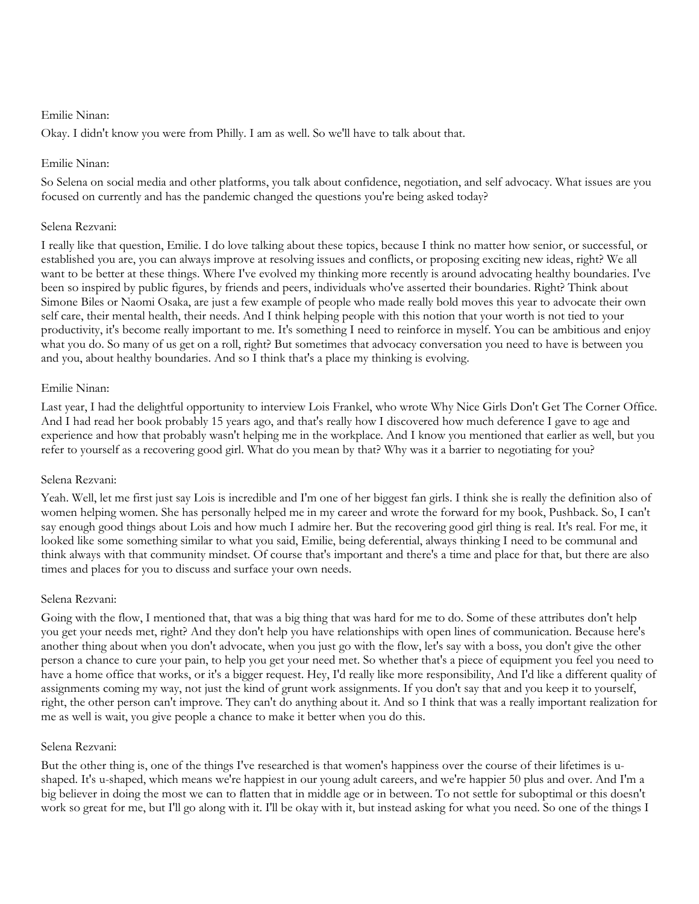Okay. I didn't know you were from Philly. I am as well. So we'll have to talk about that.

## Emilie Ninan:

So Selena on social media and other platforms, you talk about confidence, negotiation, and self advocacy. What issues are you focused on currently and has the pandemic changed the questions you're being asked today?

#### Selena Rezvani:

I really like that question, Emilie. I do love talking about these topics, because I think no matter how senior, or successful, or established you are, you can always improve at resolving issues and conflicts, or proposing exciting new ideas, right? We all want to be better at these things. Where I've evolved my thinking more recently is around advocating healthy boundaries. I've been so inspired by public figures, by friends and peers, individuals who've asserted their boundaries. Right? Think about Simone Biles or Naomi Osaka, are just a few example of people who made really bold moves this year to advocate their own self care, their mental health, their needs. And I think helping people with this notion that your worth is not tied to your productivity, it's become really important to me. It's something I need to reinforce in myself. You can be ambitious and enjoy what you do. So many of us get on a roll, right? But sometimes that advocacy conversation you need to have is between you and you, about healthy boundaries. And so I think that's a place my thinking is evolving.

## Emilie Ninan:

Last year, I had the delightful opportunity to interview Lois Frankel, who wrote Why Nice Girls Don't Get The Corner Office. And I had read her book probably 15 years ago, and that's really how I discovered how much deference I gave to age and experience and how that probably wasn't helping me in the workplace. And I know you mentioned that earlier as well, but you refer to yourself as a recovering good girl. What do you mean by that? Why was it a barrier to negotiating for you?

#### Selena Rezvani:

Yeah. Well, let me first just say Lois is incredible and I'm one of her biggest fan girls. I think she is really the definition also of women helping women. She has personally helped me in my career and wrote the forward for my book, Pushback. So, I can't say enough good things about Lois and how much I admire her. But the recovering good girl thing is real. It's real. For me, it looked like some something similar to what you said, Emilie, being deferential, always thinking I need to be communal and think always with that community mindset. Of course that's important and there's a time and place for that, but there are also times and places for you to discuss and surface your own needs.

#### Selena Rezvani:

Going with the flow, I mentioned that, that was a big thing that was hard for me to do. Some of these attributes don't help you get your needs met, right? And they don't help you have relationships with open lines of communication. Because here's another thing about when you don't advocate, when you just go with the flow, let's say with a boss, you don't give the other person a chance to cure your pain, to help you get your need met. So whether that's a piece of equipment you feel you need to have a home office that works, or it's a bigger request. Hey, I'd really like more responsibility, And I'd like a different quality of assignments coming my way, not just the kind of grunt work assignments. If you don't say that and you keep it to yourself, right, the other person can't improve. They can't do anything about it. And so I think that was a really important realization for me as well is wait, you give people a chance to make it better when you do this.

#### Selena Rezvani:

But the other thing is, one of the things I've researched is that women's happiness over the course of their lifetimes is ushaped. It's u-shaped, which means we're happiest in our young adult careers, and we're happier 50 plus and over. And I'm a big believer in doing the most we can to flatten that in middle age or in between. To not settle for suboptimal or this doesn't work so great for me, but I'll go along with it. I'll be okay with it, but instead asking for what you need. So one of the things I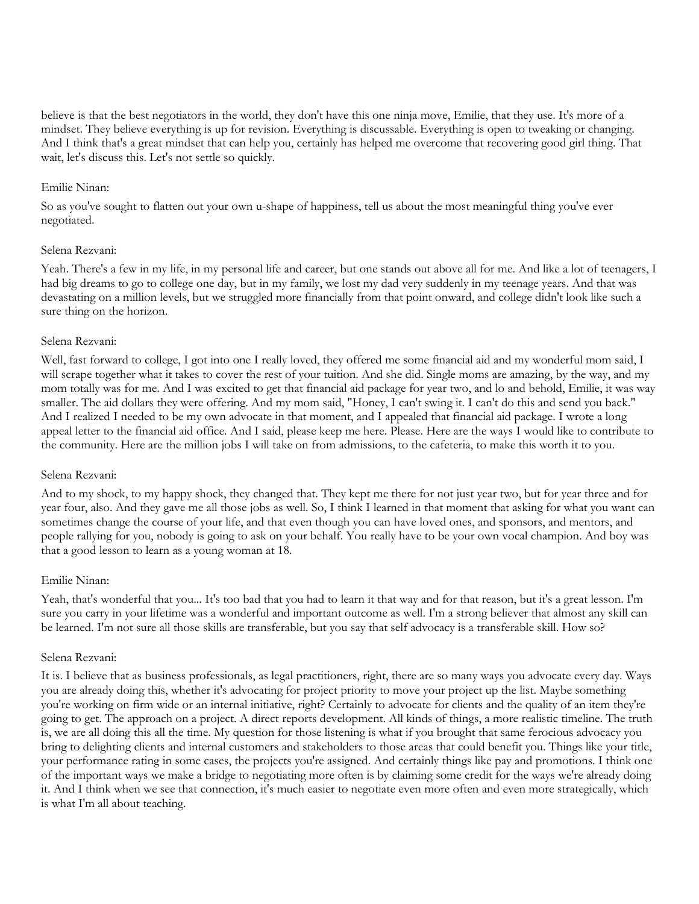believe is that the best negotiators in the world, they don't have this one ninja move, Emilie, that they use. It's more of a mindset. They believe everything is up for revision. Everything is discussable. Everything is open to tweaking or changing. And I think that's a great mindset that can help you, certainly has helped me overcome that recovering good girl thing. That wait, let's discuss this. Let's not settle so quickly.

#### Emilie Ninan:

So as you've sought to flatten out your own u-shape of happiness, tell us about the most meaningful thing you've ever negotiated.

#### Selena Rezvani:

Yeah. There's a few in my life, in my personal life and career, but one stands out above all for me. And like a lot of teenagers, I had big dreams to go to college one day, but in my family, we lost my dad very suddenly in my teenage years. And that was devastating on a million levels, but we struggled more financially from that point onward, and college didn't look like such a sure thing on the horizon.

## Selena Rezvani:

Well, fast forward to college, I got into one I really loved, they offered me some financial aid and my wonderful mom said, I will scrape together what it takes to cover the rest of your tuition. And she did. Single moms are amazing, by the way, and my mom totally was for me. And I was excited to get that financial aid package for year two, and lo and behold, Emilie, it was way smaller. The aid dollars they were offering. And my mom said, "Honey, I can't swing it. I can't do this and send you back." And I realized I needed to be my own advocate in that moment, and I appealed that financial aid package. I wrote a long appeal letter to the financial aid office. And I said, please keep me here. Please. Here are the ways I would like to contribute to the community. Here are the million jobs I will take on from admissions, to the cafeteria, to make this worth it to you.

#### Selena Rezvani:

And to my shock, to my happy shock, they changed that. They kept me there for not just year two, but for year three and for year four, also. And they gave me all those jobs as well. So, I think I learned in that moment that asking for what you want can sometimes change the course of your life, and that even though you can have loved ones, and sponsors, and mentors, and people rallying for you, nobody is going to ask on your behalf. You really have to be your own vocal champion. And boy was that a good lesson to learn as a young woman at 18.

# Emilie Ninan:

Yeah, that's wonderful that you... It's too bad that you had to learn it that way and for that reason, but it's a great lesson. I'm sure you carry in your lifetime was a wonderful and important outcome as well. I'm a strong believer that almost any skill can be learned. I'm not sure all those skills are transferable, but you say that self advocacy is a transferable skill. How so?

# Selena Rezvani:

It is. I believe that as business professionals, as legal practitioners, right, there are so many ways you advocate every day. Ways you are already doing this, whether it's advocating for project priority to move your project up the list. Maybe something you're working on firm wide or an internal initiative, right? Certainly to advocate for clients and the quality of an item they're going to get. The approach on a project. A direct reports development. All kinds of things, a more realistic timeline. The truth is, we are all doing this all the time. My question for those listening is what if you brought that same ferocious advocacy you bring to delighting clients and internal customers and stakeholders to those areas that could benefit you. Things like your title, your performance rating in some cases, the projects you're assigned. And certainly things like pay and promotions. I think one of the important ways we make a bridge to negotiating more often is by claiming some credit for the ways we're already doing it. And I think when we see that connection, it's much easier to negotiate even more often and even more strategically, which is what I'm all about teaching.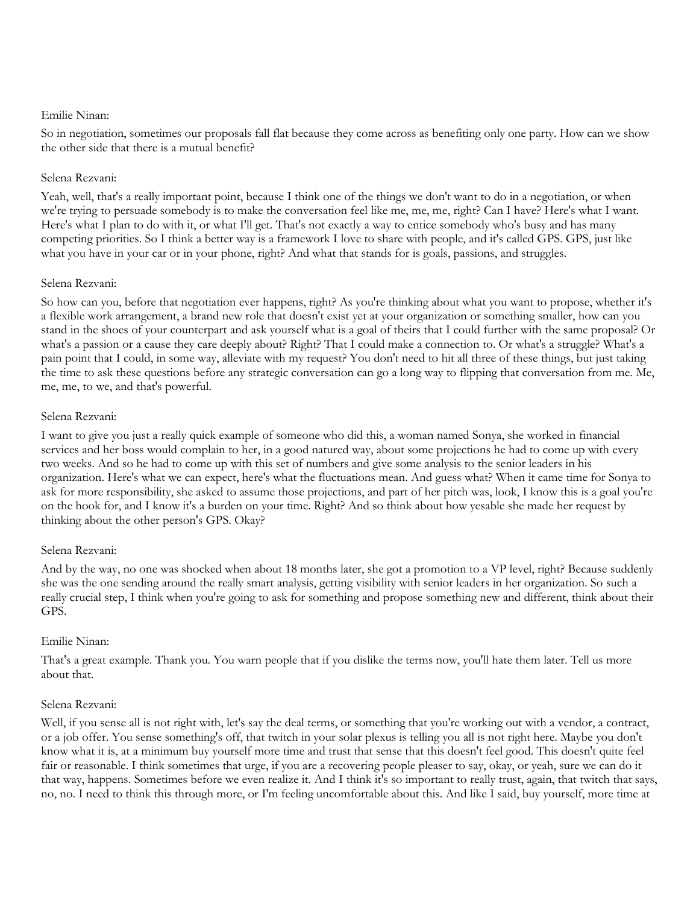So in negotiation, sometimes our proposals fall flat because they come across as benefiting only one party. How can we show the other side that there is a mutual benefit?

## Selena Rezvani:

Yeah, well, that's a really important point, because I think one of the things we don't want to do in a negotiation, or when we're trying to persuade somebody is to make the conversation feel like me, me, me, right? Can I have? Here's what I want. Here's what I plan to do with it, or what I'll get. That's not exactly a way to entice somebody who's busy and has many competing priorities. So I think a better way is a framework I love to share with people, and it's called GPS. GPS, just like what you have in your car or in your phone, right? And what that stands for is goals, passions, and struggles.

## Selena Rezvani:

So how can you, before that negotiation ever happens, right? As you're thinking about what you want to propose, whether it's a flexible work arrangement, a brand new role that doesn't exist yet at your organization or something smaller, how can you stand in the shoes of your counterpart and ask yourself what is a goal of theirs that I could further with the same proposal? Or what's a passion or a cause they care deeply about? Right? That I could make a connection to. Or what's a struggle? What's a pain point that I could, in some way, alleviate with my request? You don't need to hit all three of these things, but just taking the time to ask these questions before any strategic conversation can go a long way to flipping that conversation from me. Me, me, me, to we, and that's powerful.

## Selena Rezvani:

I want to give you just a really quick example of someone who did this, a woman named Sonya, she worked in financial services and her boss would complain to her, in a good natured way, about some projections he had to come up with every two weeks. And so he had to come up with this set of numbers and give some analysis to the senior leaders in his organization. Here's what we can expect, here's what the fluctuations mean. And guess what? When it came time for Sonya to ask for more responsibility, she asked to assume those projections, and part of her pitch was, look, I know this is a goal you're on the hook for, and I know it's a burden on your time. Right? And so think about how yesable she made her request by thinking about the other person's GPS. Okay?

# Selena Rezvani:

And by the way, no one was shocked when about 18 months later, she got a promotion to a VP level, right? Because suddenly she was the one sending around the really smart analysis, getting visibility with senior leaders in her organization. So such a really crucial step, I think when you're going to ask for something and propose something new and different, think about their GPS.

# Emilie Ninan:

That's a great example. Thank you. You warn people that if you dislike the terms now, you'll hate them later. Tell us more about that.

# Selena Rezvani:

Well, if you sense all is not right with, let's say the deal terms, or something that you're working out with a vendor, a contract, or a job offer. You sense something's off, that twitch in your solar plexus is telling you all is not right here. Maybe you don't know what it is, at a minimum buy yourself more time and trust that sense that this doesn't feel good. This doesn't quite feel fair or reasonable. I think sometimes that urge, if you are a recovering people pleaser to say, okay, or yeah, sure we can do it that way, happens. Sometimes before we even realize it. And I think it's so important to really trust, again, that twitch that says, no, no. I need to think this through more, or I'm feeling uncomfortable about this. And like I said, buy yourself, more time at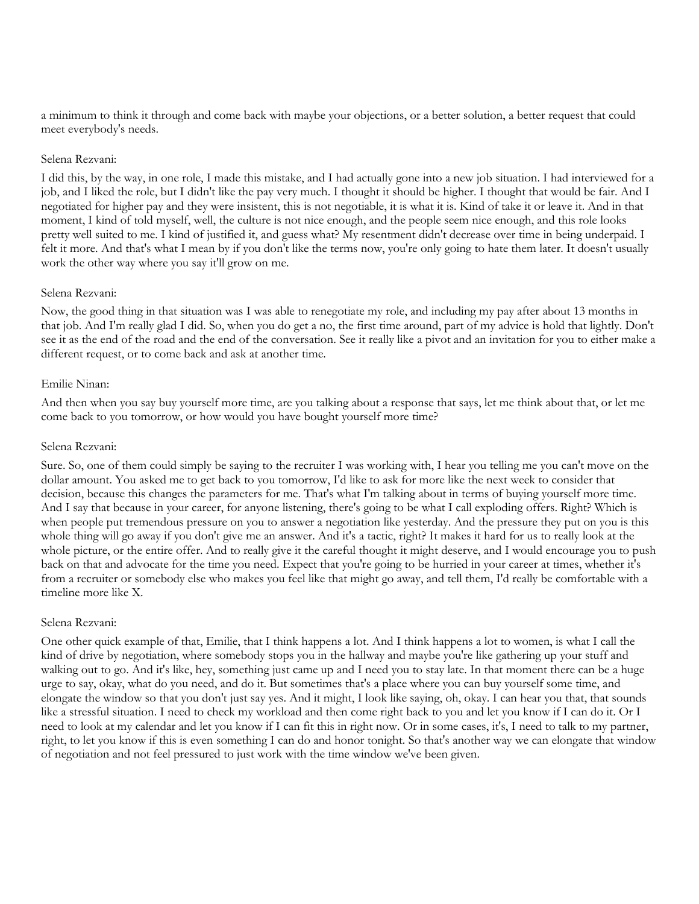a minimum to think it through and come back with maybe your objections, or a better solution, a better request that could meet everybody's needs.

#### Selena Rezvani:

I did this, by the way, in one role, I made this mistake, and I had actually gone into a new job situation. I had interviewed for a job, and I liked the role, but I didn't like the pay very much. I thought it should be higher. I thought that would be fair. And I negotiated for higher pay and they were insistent, this is not negotiable, it is what it is. Kind of take it or leave it. And in that moment, I kind of told myself, well, the culture is not nice enough, and the people seem nice enough, and this role looks pretty well suited to me. I kind of justified it, and guess what? My resentment didn't decrease over time in being underpaid. I felt it more. And that's what I mean by if you don't like the terms now, you're only going to hate them later. It doesn't usually work the other way where you say it'll grow on me.

## Selena Rezvani:

Now, the good thing in that situation was I was able to renegotiate my role, and including my pay after about 13 months in that job. And I'm really glad I did. So, when you do get a no, the first time around, part of my advice is hold that lightly. Don't see it as the end of the road and the end of the conversation. See it really like a pivot and an invitation for you to either make a different request, or to come back and ask at another time.

## Emilie Ninan:

And then when you say buy yourself more time, are you talking about a response that says, let me think about that, or let me come back to you tomorrow, or how would you have bought yourself more time?

## Selena Rezvani:

Sure. So, one of them could simply be saying to the recruiter I was working with, I hear you telling me you can't move on the dollar amount. You asked me to get back to you tomorrow, I'd like to ask for more like the next week to consider that decision, because this changes the parameters for me. That's what I'm talking about in terms of buying yourself more time. And I say that because in your career, for anyone listening, there's going to be what I call exploding offers. Right? Which is when people put tremendous pressure on you to answer a negotiation like yesterday. And the pressure they put on you is this whole thing will go away if you don't give me an answer. And it's a tactic, right? It makes it hard for us to really look at the whole picture, or the entire offer. And to really give it the careful thought it might deserve, and I would encourage you to push back on that and advocate for the time you need. Expect that you're going to be hurried in your career at times, whether it's from a recruiter or somebody else who makes you feel like that might go away, and tell them, I'd really be comfortable with a timeline more like X.

#### Selena Rezvani:

One other quick example of that, Emilie, that I think happens a lot. And I think happens a lot to women, is what I call the kind of drive by negotiation, where somebody stops you in the hallway and maybe you're like gathering up your stuff and walking out to go. And it's like, hey, something just came up and I need you to stay late. In that moment there can be a huge urge to say, okay, what do you need, and do it. But sometimes that's a place where you can buy yourself some time, and elongate the window so that you don't just say yes. And it might, I look like saying, oh, okay. I can hear you that, that sounds like a stressful situation. I need to check my workload and then come right back to you and let you know if I can do it. Or I need to look at my calendar and let you know if I can fit this in right now. Or in some cases, it's, I need to talk to my partner, right, to let you know if this is even something I can do and honor tonight. So that's another way we can elongate that window of negotiation and not feel pressured to just work with the time window we've been given.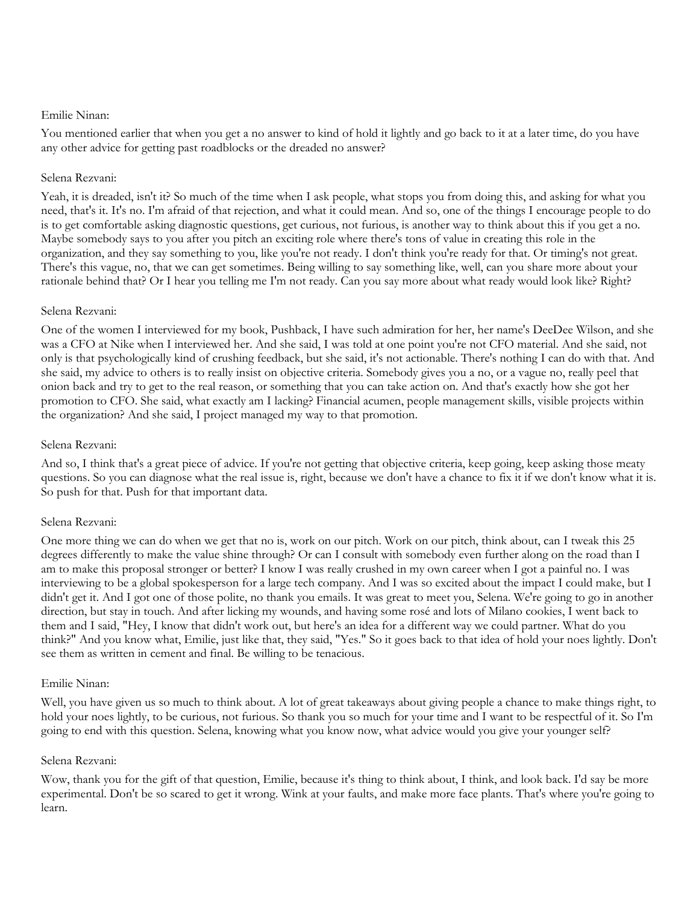You mentioned earlier that when you get a no answer to kind of hold it lightly and go back to it at a later time, do you have any other advice for getting past roadblocks or the dreaded no answer?

## Selena Rezvani:

Yeah, it is dreaded, isn't it? So much of the time when I ask people, what stops you from doing this, and asking for what you need, that's it. It's no. I'm afraid of that rejection, and what it could mean. And so, one of the things I encourage people to do is to get comfortable asking diagnostic questions, get curious, not furious, is another way to think about this if you get a no. Maybe somebody says to you after you pitch an exciting role where there's tons of value in creating this role in the organization, and they say something to you, like you're not ready. I don't think you're ready for that. Or timing's not great. There's this vague, no, that we can get sometimes. Being willing to say something like, well, can you share more about your rationale behind that? Or I hear you telling me I'm not ready. Can you say more about what ready would look like? Right?

## Selena Rezvani:

One of the women I interviewed for my book, Pushback, I have such admiration for her, her name's DeeDee Wilson, and she was a CFO at Nike when I interviewed her. And she said, I was told at one point you're not CFO material. And she said, not only is that psychologically kind of crushing feedback, but she said, it's not actionable. There's nothing I can do with that. And she said, my advice to others is to really insist on objective criteria. Somebody gives you a no, or a vague no, really peel that onion back and try to get to the real reason, or something that you can take action on. And that's exactly how she got her promotion to CFO. She said, what exactly am I lacking? Financial acumen, people management skills, visible projects within the organization? And she said, I project managed my way to that promotion.

## Selena Rezvani:

And so, I think that's a great piece of advice. If you're not getting that objective criteria, keep going, keep asking those meaty questions. So you can diagnose what the real issue is, right, because we don't have a chance to fix it if we don't know what it is. So push for that. Push for that important data.

#### Selena Rezvani:

One more thing we can do when we get that no is, work on our pitch. Work on our pitch, think about, can I tweak this 25 degrees differently to make the value shine through? Or can I consult with somebody even further along on the road than I am to make this proposal stronger or better? I know I was really crushed in my own career when I got a painful no. I was interviewing to be a global spokesperson for a large tech company. And I was so excited about the impact I could make, but I didn't get it. And I got one of those polite, no thank you emails. It was great to meet you, Selena. We're going to go in another direction, but stay in touch. And after licking my wounds, and having some rosé and lots of Milano cookies, I went back to them and I said, "Hey, I know that didn't work out, but here's an idea for a different way we could partner. What do you think?" And you know what, Emilie, just like that, they said, "Yes." So it goes back to that idea of hold your noes lightly. Don't see them as written in cement and final. Be willing to be tenacious.

#### Emilie Ninan:

Well, you have given us so much to think about. A lot of great takeaways about giving people a chance to make things right, to hold your noes lightly, to be curious, not furious. So thank you so much for your time and I want to be respectful of it. So I'm going to end with this question. Selena, knowing what you know now, what advice would you give your younger self?

## Selena Rezvani:

Wow, thank you for the gift of that question, Emilie, because it's thing to think about, I think, and look back. I'd say be more experimental. Don't be so scared to get it wrong. Wink at your faults, and make more face plants. That's where you're going to learn.